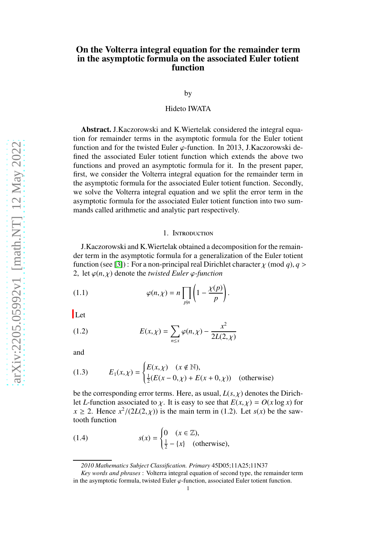# On the Volterra integral equation for the remainder term in the asymptotic formula on the associated Euler totient function

by

## Hideto IWATA

Abstract. J.Kaczorowski and K.Wiertelak considered the integral equation for remainder terms in the asymptotic formula for the Euler totient function and for the twisted Euler  $\varphi$ -function. In 2013, J.Kaczorowski defined the associated Euler totient function which extends the above two functions and proved an asymptotic formula for it. In the present paper, first, we consider the Volterra integral equation for the remainder term in the asymptotic formula for the associated Euler totient function. Secondly, we solve the Volterra integral equation and we split the error term in the asymptotic formula for the associated Euler totient function into two summands called arithmetic and analytic part respectively.

#### 1. Introduction

J.Kaczorowski and K.Wiertelak obtained a decomposition for the remainder term in the asymptotic formula for a generalization of the Euler totient function (see [3]) : For a non-principal real Dirichlet character  $\chi$  (mod *q*),  $q >$ 2, let  $\varphi(n,\chi)$  denote the *twisted Euler*  $\varphi$ *-function* 

(1.1) 
$$
\varphi(n,\chi) = n \prod_{p|n} \left(1 - \frac{\chi(p)}{p}\right).
$$

Let

(1.2) 
$$
E(x,\chi) = \sum_{n \le x} \varphi(n,\chi) - \frac{x^2}{2L(2,\chi)}
$$

and

(1.3) 
$$
E_1(x,\chi) = \begin{cases} E(x,\chi) & (x \notin \mathbb{N}), \\ \frac{1}{2}(E(x-0,\chi) + E(x+0,\chi)) & \text{(otherwise)} \end{cases}
$$

be the corresponding error terms. Here, as usual,  $L(s, \chi)$  denotes the Dirichlet *L*-function associated to  $\chi$ . It is easy to see that  $E(x, \chi) = O(x \log x)$  for  $x \ge 2$ . Hence  $x^2/(2L(2, \chi))$  is the main term in (1.2). Let *s*(*x*) be the sawtooth function

(1.4) 
$$
s(x) = \begin{cases} 0 & (x \in \mathbb{Z}), \\ \frac{1}{2} - \{x\} & \text{(otherwise)}, \end{cases}
$$

*<sup>2010</sup> Mathematics Subject Classification. Primary* 45D05;11A25;11N37

*Key words and phrases* : Volterra integral equation of second type, the remainder term in the asymptotic formula, twisted Euler  $\varphi$ -function, associated Euler totient function.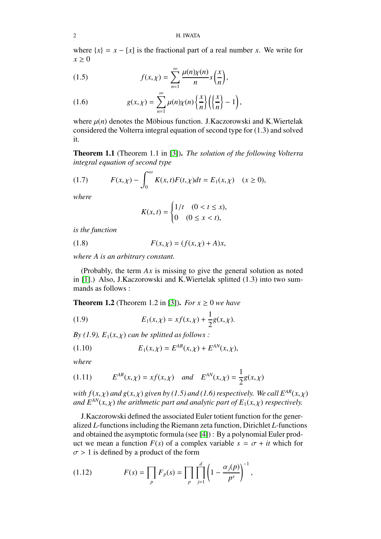where  $\{x\} = x - [x]$  is the fractional part of a real number *x*. We write for  $x > 0$ 

(1.5) 
$$
f(x,\chi) = \sum_{n=1}^{\infty} \frac{\mu(n)\chi(n)}{n} s\left(\frac{x}{n}\right),
$$

(1.6) 
$$
g(x,\chi)=\sum_{n=1}^{\infty}\mu(n)\chi(n)\left\{\frac{x}{n}\right\}\left(\left\{\frac{x}{n}\right\}-1\right),
$$

where  $\mu(n)$  denotes the Möbious function. J.Kaczorowski and K.Wiertelak considered the Volterra integral equation of second type for (1.3) and solved it.

Theorem 1.1 (Theorem 1.1 in [3]). *The solution of the following Volterra integral equation of second type*

(1.7) 
$$
F(x,\chi) - \int_0^{\infty} K(x,t)F(t,\chi)dt = E_1(x,\chi) \quad (x \ge 0),
$$

*where*

$$
K(x,t) = \begin{cases} 1/t & (0 < t \le x), \\ 0 & (0 \le x < t), \end{cases}
$$

*is the function*

(1.8) 
$$
F(x, \chi) = (f(x, \chi) + A)x,
$$

 $\sim$   $\sim$ 

*where A is an arbitrary constant.*

(Probably, the term *Ax* is missing to give the general solution as noted in [\[1\]](#page-7-0).) Also, J.Kaczorowski and K.Wiertelak splitted (1.3) into two summands as follows :

**Theorem 1.2** (Theorem 1.2 in [3]). *For*  $x \ge 0$  *we have* 

(1.9) 
$$
E_1(x,\chi) = x f(x,\chi) + \frac{1}{2} g(x,\chi).
$$

*By (1.9),*  $E_1(x, \chi)$  *can be splitted as follows :* 

(1.10) 
$$
E_1(x,\chi) = E^{AR}(x,\chi) + E^{AN}(x,\chi),
$$

*where*

(1.11) 
$$
E^{AR}(x, \chi) = x f(x, \chi)
$$
 and  $E^{AN}(x, \chi) = \frac{1}{2} g(x, \chi)$ 

*with*  $f(x, \chi)$  *and*  $g(x, \chi)$  *given by (1.5) and (1.6) respectively. We call*  $E^{AR}(x, \chi)$ *and*  $E^{AN}(x, y)$  *the arithmetic part and analytic part of*  $E_1(x, y)$  *respectively.* 

J.Kaczorowski defined the associated Euler totient function for the generalized *L*-functions including the Riemann zeta function, Dirichlet *L*-functions and obtained the asymptotic formula (see [\[4\]](#page-7-1)) : By a polynomial Euler product we mean a function  $F(s)$  of a complex variable  $s = \sigma + it$  which for  $\sigma > 1$  is defined by a product of the form

(1.12) 
$$
F(s) = \prod_{p} F_{p}(s) = \prod_{p} \prod_{j=1}^{d} \left(1 - \frac{\alpha_{j}(p)}{p^{s}}\right)^{-1},
$$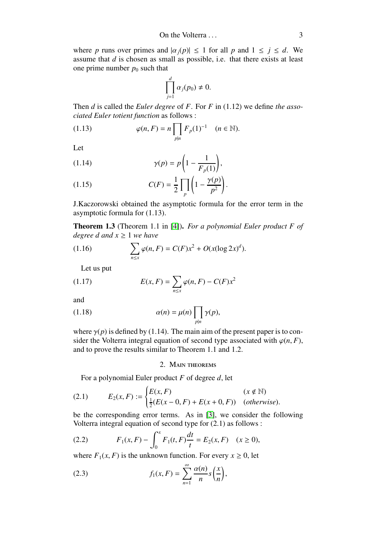where *p* runs over primes and  $|\alpha_j(p)| \leq 1$  for all *p* and  $1 \leq j \leq d$ . We assume that *d* is chosen as small as possible, i.e. that there exists at least one prime number  $p_0$  such that

$$
\prod_{j=1}^d \alpha_j(p_0) \neq 0.
$$

Then *d* is called the *Euler degree* of *F*. For *F* in (1.12) we define *the associated Euler totient function* as follows :

(1.13) 
$$
\varphi(n, F) = n \prod_{p|n} F_p(1)^{-1} \quad (n \in \mathbb{N}).
$$

Let

$$
\gamma(p) = p\left(1 - \frac{1}{F_p(1)}\right),\,
$$

(1.15) 
$$
C(F) = \frac{1}{2} \prod_p \left(1 - \frac{\gamma(p)}{p^2}\right).
$$

J.Kaczorowski obtained the asymptotic formula for the error term in the asymptotic formula for (1.13).

Theorem 1.3 (Theorem 1.1 in [\[4\]](#page-7-1)). *For a polynomial Euler product F of degree d and x* ≥ 1 *we have*

(1.16) 
$$
\sum_{n \leq x} \varphi(n, F) = C(F)x^2 + O(x(\log 2x)^d).
$$

Let us put

(1.17) 
$$
E(x, F) = \sum_{n \le x} \varphi(n, F) - C(F)x^2
$$

and

(1.18) 
$$
\alpha(n) = \mu(n) \prod_{p|n} \gamma(p),
$$

where  $\gamma(p)$  is defined by (1.14). The main aim of the present paper is to consider the Volterra integral equation of second type associated with  $\varphi(n, F)$ , and to prove the results similar to Theorem 1.1 and 1.2.

2. MAIN THEOREMS

For a polynomial Euler product *F* of degree *d*, let

(2.1) 
$$
E_2(x, F) := \begin{cases} E(x, F) & (x \notin \mathbb{N}) \\ \frac{1}{2}(E(x - 0, F) + E(x + 0, F)) & (otherwise). \end{cases}
$$

be the corresponding error terms. As in [3], we consider the following Volterra integral equation of second type for (2.1) as follows :

(2.2) 
$$
F_1(x, F) - \int_0^x F_1(t, F) \frac{dt}{t} = E_2(x, F) \quad (x \ge 0),
$$

where  $F_1(x, F)$  is the unknown function. For every  $x \ge 0$ , let

(2.3) 
$$
f_1(x, F) = \sum_{n=1}^{\infty} \frac{\alpha(n)}{n} s\left(\frac{x}{n}\right),
$$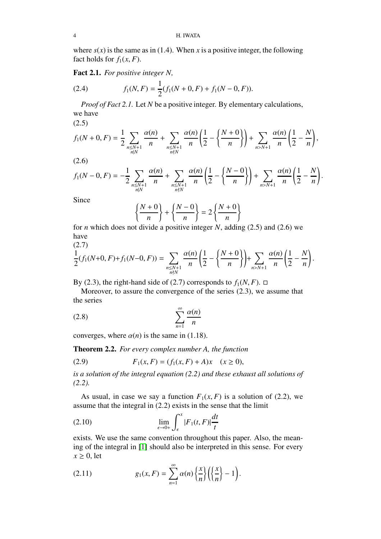where  $s(x)$  is the same as in (1.4). When x is a positive integer, the following fact holds for  $f_1(x, F)$ .

Fact 2.1. *For positive integer N,*

(2.4) 
$$
f_1(N, F) = \frac{1}{2}(f_1(N + 0, F) + f_1(N - 0, F)).
$$

*Proof of Fact 2.1.* Let *N* be a positive integer. By elementary calculations, we have

 $(2.5)$ 

$$
f_1(N+0,F) = \frac{1}{2} \sum_{\substack{n \le N+1 \\ n \mid N}} \frac{\alpha(n)}{n} + \sum_{\substack{n \le N+1 \\ n \nmid N}} \frac{\alpha(n)}{n} \left( \frac{1}{2} - \left\{ \frac{N+0}{n} \right\} \right) + \sum_{n > N+1} \frac{\alpha(n)}{n} \left( \frac{1}{2} - \frac{N}{n} \right),
$$

(2.6)

$$
f_1(N-0,F) = -\frac{1}{2} \sum_{\substack{n \le N+1 \\ n|N}} \frac{\alpha(n)}{n} + \sum_{\substack{n \le N+1 \\ n \nmid N}} \frac{\alpha(n)}{n} \left( \frac{1}{2} - \left\{ \frac{N-0}{n} \right\} \right) + \sum_{n > N+1} \frac{\alpha(n)}{n} \left( \frac{1}{2} - \frac{N}{n} \right).
$$

Since

$$
\left\{\frac{N+0}{n}\right\} + \left\{\frac{N-0}{n}\right\} = 2\left\{\frac{N+0}{n}\right\}
$$

for *n* which does not divide a positive integer *N*, adding (2.5) and (2.6) we have  $(2.7)$ 

$$
\frac{1}{2}(f_1(N+0,F)+f_1(N-0,F))=\sum_{\substack{n\leq N+1\\ n\nmid N}}\frac{\alpha(n)}{n}\left(\frac{1}{2}-\left\{\frac{N+0}{n}\right\}\right)+\sum_{n\geq N+1}\frac{\alpha(n)}{n}\left(\frac{1}{2}-\frac{N}{n}\right).
$$

By (2.3), the right-hand side of (2.7) corresponds to  $f_1(N, F)$ .  $\Box$ 

Moreover, to assure the convergence of the series (2.3), we assume that the series

$$
(2.8)\qquad \qquad \sum_{n=1}^{\infty} \frac{\alpha(n)}{n}
$$

converges, where  $\alpha(n)$  is the same in (1.18).

Theorem 2.2. *For every complex number A, the function*

(2.9) 
$$
F_1(x, F) = (f_1(x, F) + A)x \quad (x \ge 0),
$$

*is a solution of the integral equation (2.2) and these exhaust all solutions of (2.2).*

As usual, in case we say a function  $F_1(x, F)$  is a solution of (2.2), we assume that the integral in (2.2) exists in the sense that the limit

$$
\lim_{\epsilon \to 0+} \int_{\epsilon}^{x} |F_1(t, F)| \frac{dt}{t}
$$

exists. We use the same convention throughout this paper. Also, the meaning of the integral in [\[1\]](#page-7-0) should also be interpreted in this sense. For every  $x \geq 0$ , let

(2.11) 
$$
g_1(x,F) = \sum_{n=1}^{\infty} \alpha(n) \left\{ \frac{x}{n} \right\} \left( \left\{ \frac{x}{n} \right\} - 1 \right).
$$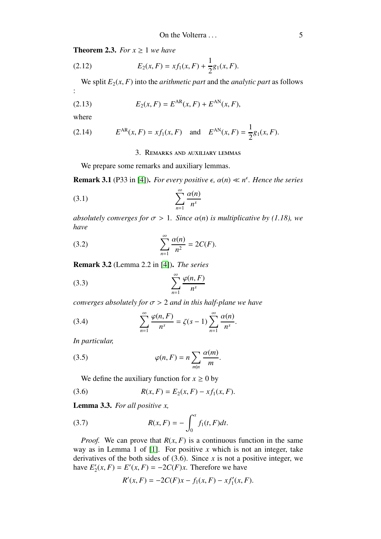**Theorem 2.3.** *For*  $x \geq 1$  *we have* 

(2.12) 
$$
E_2(x, F) = x f_1(x, F) + \frac{1}{2} g_1(x, F).
$$

We split  $E_2(x, F)$  into the *arithmetic part* and the *analytic part* as follows

(2.13) 
$$
E_2(x, F) = E^{AR}(x, F) + E^{AN}(x, F),
$$

where

:

(2.14) 
$$
E^{AR}(x, F) = xf_1(x, F)
$$
 and  $E^{AN}(x, F) = \frac{1}{2}g_1(x, F)$ .

3. Remarks and auxiliary lemmas

We prepare some remarks and auxiliary lemmas.

**Remark 3.1** (P33 in [\[4\]](#page-7-1)). *For every positive*  $\epsilon$ ,  $\alpha(n) \ll n^{\epsilon}$ . *Hence the series* 

$$
\sum_{n=1}^{\infty} \frac{\alpha(n)}{n^s}
$$

*absolutely converges for*  $\sigma > 1$ *. Since*  $\alpha(n)$  *is multiplicative by (1.18), we have*

(3.2) 
$$
\sum_{n=1}^{\infty} \frac{\alpha(n)}{n^2} = 2C(F).
$$

Remark 3.2 (Lemma 2.2 in [\[4\]](#page-7-1)). *The series*

$$
\sum_{n=1}^{\infty} \frac{\varphi(n, F)}{n^s}
$$

*converges absolutely for* σ > 2 *and in this half-plane we have*

(3.4) 
$$
\sum_{n=1}^{\infty} \frac{\varphi(n, F)}{n^s} = \zeta(s-1) \sum_{n=1}^{\infty} \frac{\alpha(n)}{n^s}.
$$

*In particular,*

(3.5) 
$$
\varphi(n, F) = n \sum_{m|n} \frac{\alpha(m)}{m}.
$$

We define the auxiliary function for  $x \geq 0$  by

(3.6) 
$$
R(x, F) = E_2(x, F) - xf_1(x, F).
$$

Lemma 3.3. *For all positive x,*

(3.7) 
$$
R(x, F) = -\int_0^x f_1(t, F)dt.
$$

*Proof.* We can prove that  $R(x, F)$  is a continuous function in the same way as in Lemma 1 of [\[1\]](#page-7-0). For positive *x* which is not an integer, take derivatives of the both sides of  $(3.6)$ . Since *x* is not a positive integer, we have  $E'_2$  $Z_2(x, F) = E'(x, F) = -2C(F)x$ . Therefore we have

$$
R'(x, F) = -2C(F)x - f_1(x, F) - xf'_1(x, F).
$$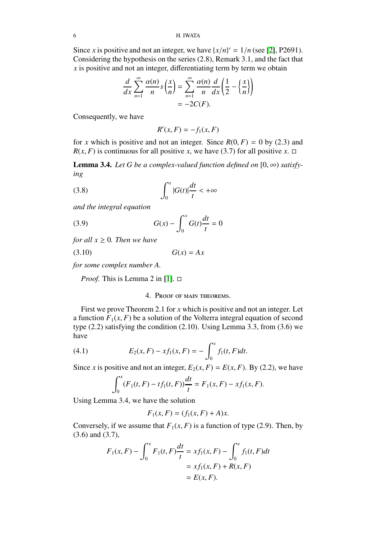Since *x* is positive and not an integer, we have  $\{x/n\}' = 1/n$  (see [2], P2691). Considering the hypothesis on the series (2.8), Remark 3.1, and the fact that *x* is positive and not an integer, differentiating term by term we obtain

$$
\frac{d}{dx}\sum_{n=1}^{\infty}\frac{\alpha(n)}{n}s\left(\frac{x}{n}\right)=\sum_{n=1}^{\infty}\frac{\alpha(n)}{n}\frac{d}{dx}\left(\frac{1}{2}-\left\{\frac{x}{n}\right\}\right)
$$

$$
=-2C(F).
$$

Consequently, we have

$$
R'(x, F) = -f_1(x, F)
$$

for *x* which is positive and not an integer. Since  $R(0, F) = 0$  by (2.3) and  $R(x, F)$  is continuous for all positive *x*, we have (3.7) for all positive *x*.  $\Box$ 

**Lemma 3.4.** Let G be a complex-valued function defined on  $[0, \infty)$  satisfy*ing*

(3.8) 
$$
\int_0^x |G(t)| \frac{dt}{t} < +\infty
$$

*and the integral equation*

(3.9) 
$$
G(x) - \int_0^x G(t) \frac{dt}{t} = 0
$$

*for all*  $x \geq 0$ *. Then we have* 

$$
(3.10)\t\t G(x) = Ax
$$

*for some complex number A.*

*Proof.* This is Lemma 2 in [\[1\]](#page-7-0).  $\Box$ 

## 4. Proof of main theorems.

First we prove Theorem 2.1 for *x* which is positive and not an integer. Let a function  $F_1(x, F)$  be a solution of the Volterra integral equation of second type (2.2) satisfying the condition (2.10). Using Lemma 3.3, from (3.6) we have

(4.1) 
$$
E_2(x, F) - x f_1(x, F) = - \int_0^x f_1(t, F) dt.
$$

Since *x* is positive and not an integer,  $E_2(x, F) = E(x, F)$ . By (2.2), we have

$$
\int_0^x (F_1(t, F) - tf_1(t, F)) \frac{dt}{t} = F_1(x, F) - xf_1(x, F).
$$

Using Lemma 3.4, we have the solution

$$
F_1(x, F) = (f_1(x, F) + A)x.
$$

Conversely, if we assume that  $F_1(x, F)$  is a function of type (2.9). Then, by (3.6) and (3.7),

$$
F_1(x, F) - \int_0^x F_1(t, F) \frac{dt}{t} = xf_1(x, F) - \int_0^x f_1(t, F) dt
$$
  
=  $xf_1(x, F) + R(x, F)$   
=  $E(x, F)$ .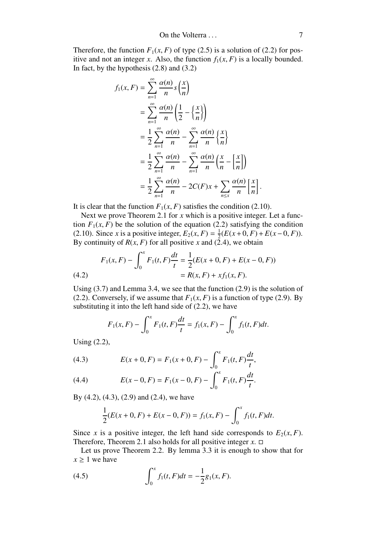Therefore, the function  $F_1(x, F)$  of type (2.5) is a solution of (2.2) for positive and not an integer *x*. Also, the function  $f_1(x, F)$  is a locally bounded. In fact, by the hypothesis  $(2.8)$  and  $(3.2)$ 

$$
f_1(x, F) = \sum_{n=1}^{\infty} \frac{\alpha(n)}{n} s\left(\frac{x}{n}\right)
$$
  
= 
$$
\sum_{n=1}^{\infty} \frac{\alpha(n)}{n} \left(\frac{1}{2} - \left\{\frac{x}{n}\right\}\right)
$$
  
= 
$$
\frac{1}{2} \sum_{n=1}^{\infty} \frac{\alpha(n)}{n} - \sum_{n=1}^{\infty} \frac{\alpha(n)}{n} \left\{\frac{x}{n}\right\}
$$
  
= 
$$
\frac{1}{2} \sum_{n=1}^{\infty} \frac{\alpha(n)}{n} - \sum_{n=1}^{\infty} \frac{\alpha(n)}{n} \left(\frac{x}{n} - \left\lfloor\frac{x}{n}\right\rfloor\right)
$$
  
= 
$$
\frac{1}{2} \sum_{n=1}^{\infty} \frac{\alpha(n)}{n} - 2C(F)x + \sum_{n \le x} \frac{\alpha(n)}{n} \left\lfloor\frac{x}{n}\right\rfloor.
$$

It is clear that the function  $F_1(x, F)$  satisfies the condition (2.10).

Next we prove Theorem 2.1 for *x* which is a positive integer. Let a function  $F_1(x, F)$  be the solution of the equation (2.2) satisfying the condition (2.10). Since *x* is a positive integer,  $E_2(x, F) = \frac{1}{2}$  $\frac{1}{2}(E(x+0,F)+E(x-0,F)).$ By continuity of  $R(x, F)$  for all positive x and (2.4), we obtain

(4.2) 
$$
F_1(x, F) - \int_0^x F_1(t, F) \frac{dt}{t} = \frac{1}{2} (E(x + 0, F) + E(x - 0, F))
$$

$$
= R(x, F) + x f_1(x, F).
$$

Using (3.7) and Lemma 3.4, we see that the function (2.9) is the solution of (2.2). Conversely, if we assume that  $F_1(x, F)$  is a function of type (2.9). By substituting it into the left hand side of (2.2), we have

$$
F_1(x, F) - \int_0^x F_1(t, F) \frac{dt}{t} = f_1(x, F) - \int_0^x f_1(t, F) dt.
$$

Using (2.2),

(4.3) 
$$
E(x+0,F) = F_1(x+0,F) - \int_0^x F_1(t,F) \frac{dt}{t},
$$

(4.4) 
$$
E(x-0,F) = F_1(x-0,F) - \int_0^x F_1(t,F) \frac{dt}{t}.
$$

By  $(4.2)$ ,  $(4.3)$ ,  $(2.9)$  and  $(2.4)$ , we have

$$
\frac{1}{2}(E(x+0,F) + E(x-0,F)) = f_1(x,F) - \int_0^x f_1(t,F)dt.
$$

Since *x* is a positive integer, the left hand side corresponds to  $E_2(x, F)$ . Therefore, Theorem 2.1 also holds for all positive integer  $x$ .  $\Box$ 

Let us prove Theorem 2.2. By lemma 3.3 it is enough to show that for  $x > 1$  we have

(4.5) 
$$
\int_0^x f_1(t, F)dt = -\frac{1}{2}g_1(x, F).
$$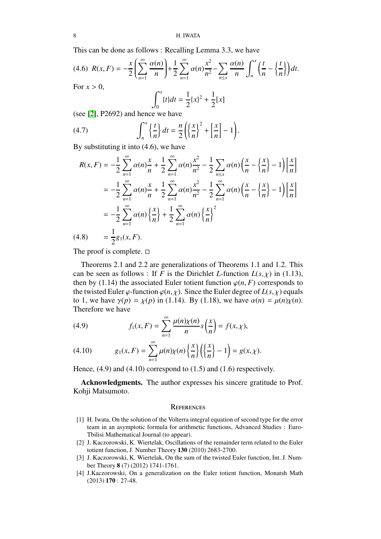8 H. IWATA

This can be done as follows : Recalling Lemma 3.3, we have

$$
(4.6) \ R(x,F) = -\frac{x}{2} \left( \sum_{n=1}^{\infty} \frac{\alpha(n)}{n} \right) + \frac{1}{2} \sum_{n=1}^{\infty} \alpha(n) \frac{x^2}{n^2} - \sum_{n \le x} \frac{\alpha(n)}{n} \int_{n}^{x} \left( \frac{t}{n} - \left\{ \frac{t}{n} \right\} \right) dt.
$$
  
For  $x > 0$ ,
$$
\int_{0}^{x} \{t\} dt = \frac{1}{2} \{x\}^2 + \frac{1}{2} [x]
$$

(see [2], P2692) and hence we have

(4.7) 
$$
\int_{n}^{x} \left\{ \frac{t}{n} \right\} dt = \frac{n}{2} \left( \left\{ \frac{x}{n} \right\}^{2} + \left\{ \frac{x}{n} \right\} - 1 \right).
$$

By substituting it into (4.6), we have

$$
R(x, F) = -\frac{1}{2} \sum_{n=1}^{\infty} \alpha(n) \frac{x}{n} + \frac{1}{2} \sum_{n=1}^{\infty} \alpha(n) \frac{x^2}{n^2} - \frac{1}{2} \sum_{n \le x} \alpha(n) \left(\frac{x}{n} - \left\{\frac{x}{n}\right\} - 1\right) \left[\frac{x}{n}\right]
$$
  

$$
= -\frac{1}{2} \sum_{n=1}^{\infty} \alpha(n) \frac{x}{n} + \frac{1}{2} \sum_{n=1}^{\infty} \alpha(n) \frac{x^2}{n^2} - \frac{1}{2} \sum_{n=1}^{\infty} \alpha(n) \left(\frac{x}{n} - \left\{\frac{x}{n}\right\} - 1\right) \left[\frac{x}{n}\right]
$$
  

$$
= -\frac{1}{2} \sum_{n=1}^{\infty} \alpha(n) \left\{\frac{x}{n}\right\} + \frac{1}{2} \sum_{n=1}^{\infty} \alpha(n) \left\{\frac{x}{n}\right\}^2
$$
  
(4.8) 
$$
= \frac{1}{2} g_1(x, F).
$$

The proof is complete.  $\square$ 

Theorems 2.1 and 2.2 are generalizations of Theorems 1.1 and 1.2. This can be seen as follows : If *F* is the Dirichlet *L*-function  $L(s, \chi)$  in (1.13), then by (1.14) the associated Euler totient function  $\varphi(n, F)$  corresponds to the twisted Euler  $\varphi$ -function  $\varphi(n, \chi)$ . Since the Euler degree of  $L(s, \chi)$  equals to 1, we have  $\gamma(p) = \chi(p)$  in (1.14). By (1.18), we have  $\alpha(n) = \mu(n)\chi(n)$ . Therefore we have

(4.9) 
$$
f_1(x,F) = \sum_{n=1}^{\infty} \frac{\mu(n)\chi(n)}{n} s\left(\frac{x}{n}\right) = f(x,\chi),
$$

(4.10) 
$$
g_1(x, F) = \sum_{n=1}^{\infty} \mu(n) \chi(n) \left\{ \frac{x}{n} \right\} \left( \left\{ \frac{x}{n} \right\} - 1 \right) = g(x, \chi).
$$

Hence, (4.9) and (4.10) correspond to (1.5) and (1.6) respectively.

Acknowledgments. The author expresses his sincere gratitude to Prof. Kohji Matsumoto.

### **REFERENCES**

- <span id="page-7-0"></span>[1] H. Iwata, On the solution of the Volterra integral equation of second type for the error team in an asymptotic formula for arithmetic functions, Advanced Studies : Euro-Tbilisi Mathematical Journal (to appear).
- [2] J. Kaczorowski, K. Wiertelak, Oscillations of the remainder term related to the Euler totient function, J. Number Theory 130 (2010) 2683-2700.
- [3] J. Kaczorowski, K. Wiertelak, On the sum of the twisted Euler function, Int. J. Number Theory 8 (7) (2012) 1741-1761.
- <span id="page-7-1"></span>[4] J.Kaczorowski, On a generalization on the Euler totient function, Monatsh Math (2013) 170 : 27-48.